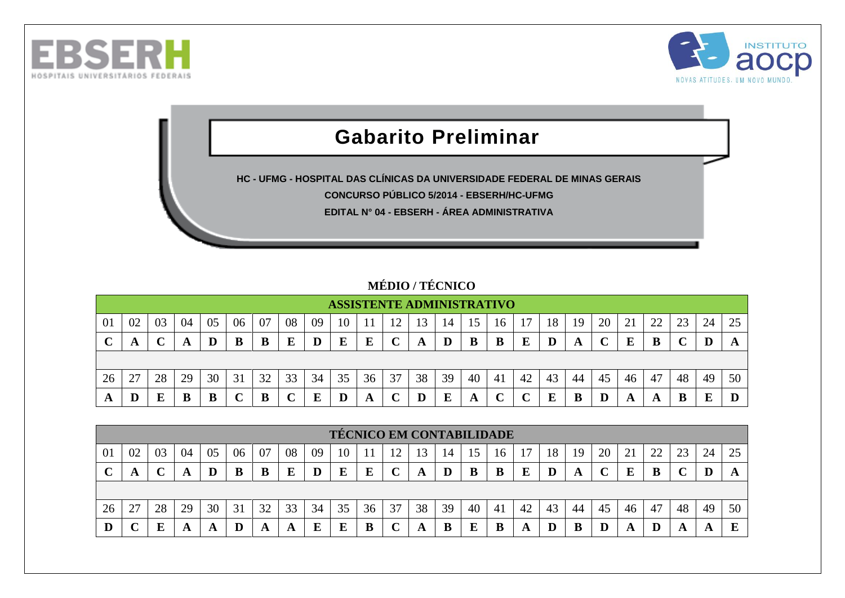



## **Gabarito Preliminar**

**HC - UFMG - HOSPITAL DAS CLÍNICAS DA UNIVERSIDADE FEDERAL DE MINAS GERAIS**

**CONCURSO PÚBLICO 5/2014 - EBSERH/HC-UFMG**

**EDITAL N° 04 - EBSERH - ÁREA ADMINISTRATIVA**

## **MÉDIO / TÉCNICO**

|         |               |    |    |    |    |    |    |    | <b>ASSISTENTE ADMINISTRATIVO</b> |    |    |                 |    |    |                    |    |    |    |    |    |    |    |    |    |
|---------|---------------|----|----|----|----|----|----|----|----------------------------------|----|----|-----------------|----|----|--------------------|----|----|----|----|----|----|----|----|----|
| $_{01}$ | 02            | 03 | 04 | 05 | 06 | 07 | 08 | 09 | 10                               |    |    | 15 <sub>1</sub> | 14 | 15 | 16                 |    | 18 | 19 | 20 | ∠. | 22 |    | 24 | 25 |
|         | A             |    | A  |    | B  |    | E  |    | E                                | E  |    | A               |    | В  | B                  | E  | D  | A  |    |    | B  |    |    |    |
|         |               |    |    |    |    |    |    |    |                                  |    |    |                 |    |    |                    |    |    |    |    |    |    |    |    |    |
| 26      | $\sim$<br>ا ت | 28 | 29 | 30 | 31 | 32 | 33 | 34 | 35                               | 36 | 37 | 38              | 39 | 40 | -41                | 42 | 43 | 44 | 45 | 46 | 47 | 48 | 49 | 50 |
| A       |               |    | B  | B  |    |    |    |    |                                  | A  |    |                 | E  | A  | $\curvearrowright$ |    | E  |    | D  | A  | A  |    | Е  |    |

|             |    |    |    |    |    |    |    |    |    |    | <b>TÉCNICO EM CONTABILIDADE</b> |    |    |     |    |    |    |    |    |    |    |    |    |    |
|-------------|----|----|----|----|----|----|----|----|----|----|---------------------------------|----|----|-----|----|----|----|----|----|----|----|----|----|----|
| 01          | 02 | 03 | 04 | 05 | 06 | 07 | 08 | 09 | 10 |    |                                 | 3  | 14 | 15. | 16 |    | 18 | 19 | 20 |    | 22 | 23 | 24 | 25 |
| $\mathbf C$ | A  |    | A  |    | В  | В  | E  |    | E  | E  |                                 | A  |    | В   | B  | E  | D  | A  |    | E  | B  |    |    |    |
|             |    |    |    |    |    |    |    |    |    |    |                                 |    |    |     |    |    |    |    |    |    |    |    |    |    |
| 26          | 27 | 28 | 29 | 30 | 31 | 32 | 33 | 34 | 35 | 36 | 37                              | 38 | 39 | 40  | 41 | 42 | 43 | 44 | 45 | 46 | 47 | 48 | 49 | 50 |
| D           |    | Ε  | A  |    |    | A  | A  | E  | E  | B  |                                 |    | B  | Е   | B  |    |    | В  |    |    |    | A  |    |    |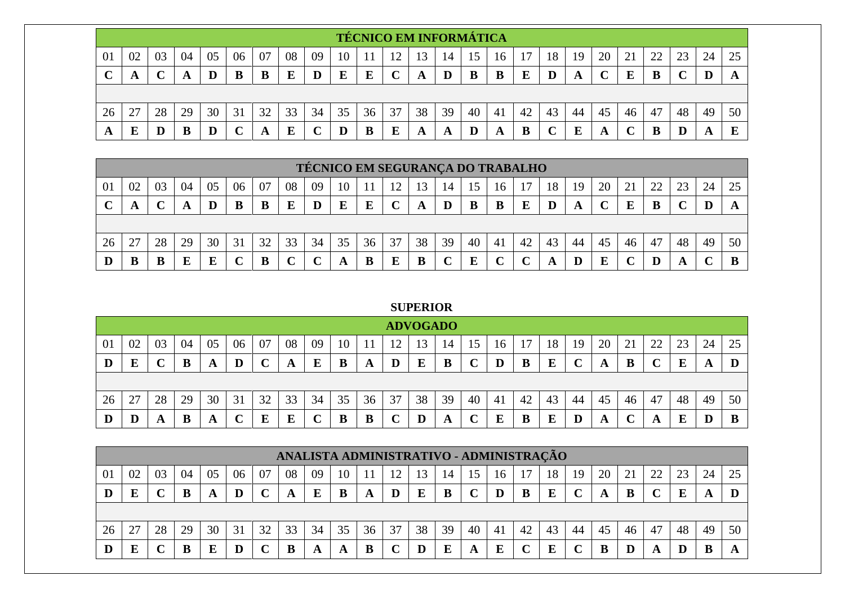|        |              |    |    |    |    |     |    |    |    |    |    | <b>TÉCNICO EM INFORMÁTICA</b> |    |    |     |    |    |    |    |    |    |    |    |    |
|--------|--------------|----|----|----|----|-----|----|----|----|----|----|-------------------------------|----|----|-----|----|----|----|----|----|----|----|----|----|
| 01     | 02           | 03 | 04 | 05 | 06 | -07 | 08 | 09 | 10 |    | 12 | 3                             | 14 | 15 | 16  |    | 18 | 19 | 20 | 21 | 22 | 23 | 24 | 25 |
| $\sim$ | $\mathbf{A}$ |    | A  |    | B  |     | E  | D  | E  | E  | ◡  | A                             | D  | B  | B   | E  |    |    |    | E  | B  |    |    |    |
|        |              |    |    |    |    |     |    |    |    |    |    |                               |    |    |     |    |    |    |    |    |    |    |    |    |
| 26     | 27           | 28 | 29 | 30 | 31 | 32  | 33 | 34 | 35 | 36 | 37 | 38                            | 39 | 40 | -41 | 42 | 43 | 44 | 45 | 46 | 47 | 48 | 49 | 50 |
| A      |              |    | B  |    |    | A   | E  |    | D  | B  | E  | A                             | A  |    | A   | B  |    |    | A  |    | В  |    | A  |    |

|    |    |    |    |    |    |    |    | TÉCNICO EM SEGURANÇA DO TRABALHO |    |    |     |    |    |    |    |    |    |    |        |    |                |    |    |    |
|----|----|----|----|----|----|----|----|----------------------------------|----|----|-----|----|----|----|----|----|----|----|--------|----|----------------|----|----|----|
| 01 | 02 | 03 | 04 | 05 | 06 | 07 | 08 | 09                               | 10 |    | ר ו | 13 | 14 | C. | 16 |    | 18 | 19 | 20     |    | $\gamma\gamma$ | 23 | 24 | 25 |
|    | A  |    | A  | D  | B  | B  | E  |                                  | E  |    |     | A  |    | B  |    |    | D  | A  | $\sim$ | E  | B              |    | D  | A  |
|    |    |    |    |    |    |    |    |                                  |    |    |     |    |    |    |    |    |    |    |        |    |                |    |    |    |
| 26 | 27 | 28 | 29 | 30 | 31 | 32 | 33 | 34                               | 35 | 36 | 37  | 38 | 39 | 40 | 41 | 42 | 43 | 44 | 45     | 46 | 47             | 48 | 49 | 50 |
|    | B  |    | Ε  |    |    | B  |    |                                  | A  |    | E   |    |    |    |    |    | A  |    | E      |    |                | A  |    |    |

## **SUPERIOR**

|    |    |    |    |    |    |    |    |    |    |    |    | <b>ADVOGADO</b> |                 |    |    |    |    |    |    |          |    |    |    |    |
|----|----|----|----|----|----|----|----|----|----|----|----|-----------------|-----------------|----|----|----|----|----|----|----------|----|----|----|----|
| 01 | 02 | 03 | 04 | 05 | 06 | 07 | 08 | 09 | 10 |    |    |                 | $\overline{14}$ |    | 16 |    | 18 | 19 | 20 | $\angle$ | 22 | 23 | 24 | 25 |
| D  | E  |    |    | A  | D  |    | A  | E  | B  | A  | D  | E               | B               |    | D  | B  | E  |    | A  |          |    | E  | A  |    |
|    |    |    |    |    |    |    |    |    |    |    |    |                 |                 |    |    |    |    |    |    |          |    |    |    |    |
| 26 | 27 | 28 | 29 | 30 | 31 | 32 | 33 | 34 | 35 | 36 | 37 | 38              | 39              | 40 | 41 | 42 | 43 | 44 | 45 | 46       | 47 | 48 | 49 | 50 |
| D  |    | A  |    | A  |    | E  | E  |    | B  | B  |    |                 | A               |    | E  | B  | E  | D  | A  |          | A  | E  |    | B  |

|    |    |    |    |    |    |    |    | ANALISTA ADMINISTRATIVO - ADMINISTRAÇÃO |    |    |    |    |    |    |    |     |    |    |    |    |    |    |    |    |
|----|----|----|----|----|----|----|----|-----------------------------------------|----|----|----|----|----|----|----|-----|----|----|----|----|----|----|----|----|
| 01 | 02 | 03 | 04 | 05 | 06 | 07 | 08 | 09                                      | 10 |    |    |    | 14 | 15 | 16 |     | 18 | 19 | 20 | 21 | 22 | 23 | 24 | 25 |
|    |    |    |    |    | D  |    |    |                                         | B  | A  |    |    | B  |    | D  |     | E  |    | A  |    |    |    |    |    |
|    |    |    |    |    |    |    |    |                                         |    |    |    |    |    |    |    |     |    |    |    |    |    |    |    |    |
| 26 | 27 | 28 | 29 | 30 | 31 | 32 | 33 | 34                                      | 35 | 36 | 37 | 38 | 39 | 40 | 41 | -42 | 43 | 44 | 45 | 46 | 47 | 48 | 49 | 50 |
|    | E  |    |    |    | D  |    |    |                                         | A  |    |    |    | E  |    | E  |     | F  |    | B  |    |    |    |    |    |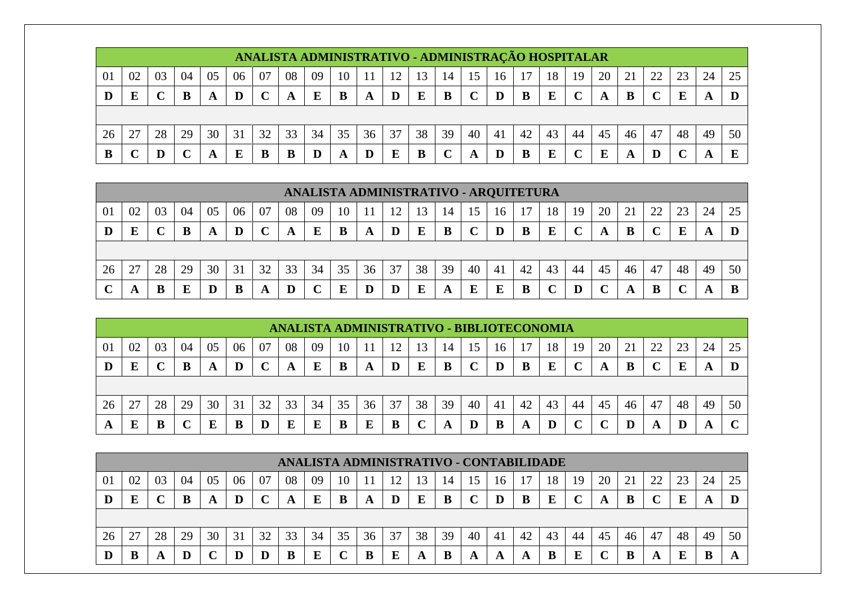|    |    |    |    |    |    |    |    | ANALISTA ADMINISTRATIVO - ADMINISTRAÇÃO HOSPITALAR |    |    |    |    |    |    |    |    |    |    |    |    |    |    |    |    |
|----|----|----|----|----|----|----|----|----------------------------------------------------|----|----|----|----|----|----|----|----|----|----|----|----|----|----|----|----|
| 01 | 02 | 03 | 04 | 05 | 06 | 07 | 08 | 09                                                 | 10 |    | 12 |    | 14 | 15 | 16 |    | 18 | 19 | 20 |    | 22 |    | 24 |    |
|    | E  |    | B  | A  |    |    | A  | Е                                                  | B  | A  |    | E  | B  |    |    |    | E  |    | A  |    |    |    |    |    |
|    |    |    |    |    |    |    |    |                                                    |    |    |    |    |    |    |    |    |    |    |    |    |    |    |    |    |
| 26 | 27 | 28 | 29 | 30 | 31 | 32 | 33 | 34                                                 | 35 | 36 | 37 | 38 | 39 | 40 | 41 | 42 | 43 | 44 | 45 | 46 | 47 | 48 | 49 | 50 |
|    |    |    |    | A  | E  |    |    |                                                    | A  |    | E  |    |    |    |    |    | E  |    | E  |    | D  |    |    |    |

|    |    |    |    |    |    |    |    | ANALISTA ADMINISTRATIVO - ARQUITETURA |    |    |    |    |    |    |    |    |    |    |    |    |    |    |    |    |
|----|----|----|----|----|----|----|----|---------------------------------------|----|----|----|----|----|----|----|----|----|----|----|----|----|----|----|----|
| 01 | 02 | 03 | 04 | 05 | 06 | 07 | 08 | 09                                    | 10 |    | 17 |    | 14 | 15 | 16 |    | 18 | 19 | 20 | 21 | 22 | 23 | 24 | 25 |
| D  | E  |    | B  | A  | D  |    | A  | E                                     | B  | A  | D  | E  | B  |    |    | B  | E  |    | A  | В  |    |    |    |    |
|    |    |    |    |    |    |    |    |                                       |    |    |    |    |    |    |    |    |    |    |    |    |    |    |    |    |
| 26 | 27 | 28 | 29 | 30 | 31 | 32 | 33 | 34                                    | 35 | 36 | 37 | 38 | 39 | 40 | 41 | 42 | 43 | 44 | 45 | 46 | 47 | 48 | 49 | 50 |
|    | A  | B  | Е  | D  | B  | A  | D  |                                       | E  | D  | D  |    | A  | E  | E  | в  |    |    |    |    | B  |    |    |    |

|    |    |    |    |    |    |    |    |    |    |    |    |    |    |    |    | ANALISTA ADMINISTRATIVO - BIBLIOTECONOMIA |          |    |    |    |    |    |    |             |
|----|----|----|----|----|----|----|----|----|----|----|----|----|----|----|----|-------------------------------------------|----------|----|----|----|----|----|----|-------------|
| 01 | 02 | 03 | 04 | 05 | 06 | 07 | 08 | 09 | 10 |    | 12 | 13 | 14 | 15 | 16 |                                           | 18       | 19 | 20 |    | 22 | 23 | 24 | 25          |
| D  | E  |    |    | A  | D  |    | A  | E  | B  | A  | D  | E  | B  |    |    | B                                         | $\bf{E}$ |    | A  |    |    | E  | A  |             |
|    |    |    |    |    |    |    |    |    |    |    |    |    |    |    |    |                                           |          |    |    |    |    |    |    |             |
| 26 | 27 | 28 | 29 | 30 | 31 | 32 | 33 | 34 | 35 | 36 | 37 | 38 | 39 | 40 | 41 | 42                                        | 43       | 44 | 45 | 46 | 47 | 48 | 49 | 50          |
| A  |    |    |    |    | B  |    | E  |    |    |    |    |    | A  |    | B  | A                                         |          |    |    |    | A  |    | A  | $\mathbf C$ |

|    |    |    |    |    |    |    | ANALISTA ADMINISTRATIVO - CONTABILIDADE |     |    |    |    |    |    |    |    |    |    |    |    |    |    |    |    |    |
|----|----|----|----|----|----|----|-----------------------------------------|-----|----|----|----|----|----|----|----|----|----|----|----|----|----|----|----|----|
| 01 | 02 | 03 | 04 | 05 | 06 | 07 | 08                                      | -09 | 10 |    | 12 | 3  | 14 | 15 | 16 |    | 18 | 19 | 20 |    | 22 | 23 | 24 | 25 |
| D  | E  |    | B  | A  | D  |    | A                                       |     | B  | A  |    | E  | B  |    |    | B  | E  |    | A  | B  |    |    |    |    |
|    |    |    |    |    |    |    |                                         |     |    |    |    |    |    |    |    |    |    |    |    |    |    |    |    |    |
| 26 | 27 | 28 | 29 | 30 | 31 | 32 | 33                                      | 34  | 35 | 36 | 37 | 38 | 39 | 40 | 41 | 42 | 43 | 44 | 45 | 46 | 47 | 48 | 49 | 50 |
| D  | B  |    | D  |    | D  |    |                                         |     |    |    | E  |    |    | A  | A  | A  |    | F  |    |    |    |    |    |    |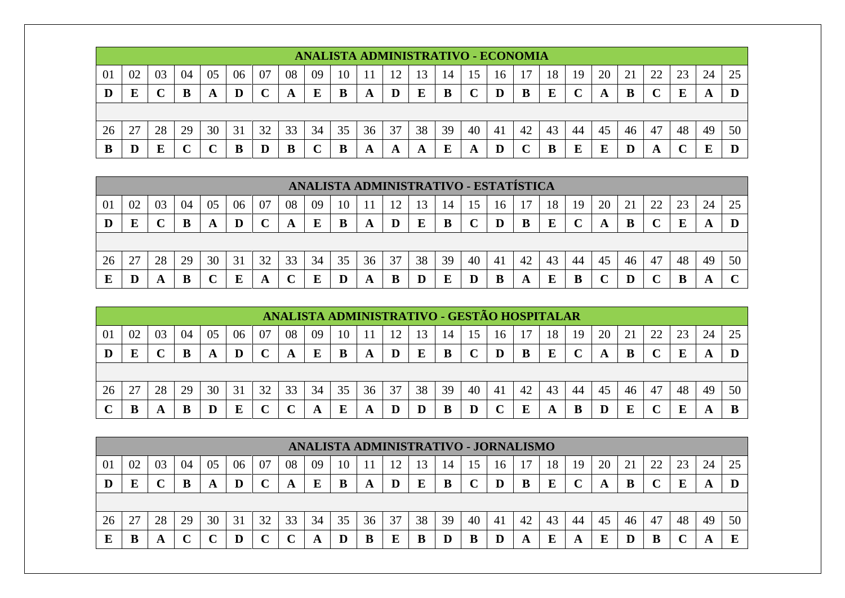|    |    |    |    |    |    |    |    | ANALISTA ADMINISTRATIVO - ECONOMIA |    |    |    |          |    |    |     |    |    |    |    |    |    |    |    |    |
|----|----|----|----|----|----|----|----|------------------------------------|----|----|----|----------|----|----|-----|----|----|----|----|----|----|----|----|----|
| 01 | 02 | 03 | 04 | 05 | 06 | 07 | 08 | 09                                 | 10 |    | ി  | 13       | 14 | 15 | 16  |    | 18 | 19 | 20 |    | 22 |    | 24 |    |
| D  | E  |    | B  | A  |    |    | A  | E                                  | B  | A  | D  | $\bf{E}$ | B  |    | D   | В  | E  |    | A  | B  |    |    | A  |    |
|    |    |    |    |    |    |    |    |                                    |    |    |    |          |    |    |     |    |    |    |    |    |    |    |    |    |
| 26 | 27 | 28 | 29 | 30 | 31 | 32 | 33 | 34                                 | 35 | 36 | 37 | 38       | 39 | 40 | -41 | 42 | 43 | 44 | 45 | 46 | 47 | 48 | 49 | 50 |
| В  | D  |    |    |    |    |    | B  |                                    |    | A  | A  |          | E  | A  | D   |    | В  |    | E  |    | A  |    | г  |    |

|    |    |    |    |    |    |    |    | ANALISTA ADMINISTRATIVO - ESTATÍSTICA |    |    |    |    |    |    |    |    |    |    |    |    |    |    |    |              |
|----|----|----|----|----|----|----|----|---------------------------------------|----|----|----|----|----|----|----|----|----|----|----|----|----|----|----|--------------|
| 01 | 02 | 03 | 04 | 05 | 06 | 07 | 08 | 09                                    | 10 |    |    | '3 | 14 | 15 | 16 | די | 18 | 19 | 20 | 21 | 22 | 23 | 24 | 25           |
| D  | E  |    | B  | A  | D  |    | A  | Е                                     | B  | A  | D  |    | B  |    |    | B  | E  |    |    |    |    |    | A  |              |
|    |    |    |    |    |    |    |    |                                       |    |    |    |    |    |    |    |    |    |    |    |    |    |    |    |              |
| 26 | 27 | 28 | 29 | 30 | 31 | 32 | 33 | 34                                    | 35 | 36 | 37 | 38 | 39 | 40 | 41 | 42 | 43 | 44 | 45 | 46 | 47 | 48 | 49 | 50           |
|    | D  |    | B  |    | E  | A  |    |                                       |    |    | B  |    | E  |    |    |    | E  |    |    |    |    |    |    | $\mathbf{C}$ |

|    |    |    |    |    |    |    |    |    |    |    | ANALISTA ADMINISTRATIVO - GESTÃO HOSPITALAR |    |    |    |    |    |    |    |    |    |    |    |    |    |
|----|----|----|----|----|----|----|----|----|----|----|---------------------------------------------|----|----|----|----|----|----|----|----|----|----|----|----|----|
| 01 | 02 | 03 | 04 | 05 | 06 | 07 | 08 | 09 | 10 |    | 12                                          | 13 | 14 | 15 | 16 |    | 18 | 19 | 20 |    | 22 | 23 | 24 | 25 |
| D  | E  |    |    |    | D  |    | A  |    | B  | A  | D                                           |    | B  |    | D  |    | E  |    | A  | в  |    |    | A  |    |
|    |    |    |    |    |    |    |    |    |    |    |                                             |    |    |    |    |    |    |    |    |    |    |    |    |    |
| 26 | 27 | 28 | 29 | 30 | 31 | 32 | 33 | 34 | 35 | 36 | 37                                          | 38 | 39 | 40 | 41 | 42 | 43 | 44 | 45 | 46 | 47 | 48 | 49 | 50 |
|    |    | A  |    |    | E  |    |    | A  | Е  | A  | D                                           |    | B  |    |    |    | A  |    |    |    |    |    | A  | R  |

|    |                                                                                                   |    |    |    |    |    |    | ANALISTA ADMINISTRATIVO - JORNALISMO |    |    |    |    |    |    |    |    |    |    |    |    |    |    |    |    |
|----|---------------------------------------------------------------------------------------------------|----|----|----|----|----|----|--------------------------------------|----|----|----|----|----|----|----|----|----|----|----|----|----|----|----|----|
| 01 | 08<br>18<br>20<br>07<br>02<br>05<br>24<br>03<br>06<br>09<br>10<br>3<br>19<br>21<br>04<br>16<br>14 |    |    |    |    |    |    |                                      |    |    |    |    |    |    |    |    |    |    |    |    |    |    |    |    |
|    |                                                                                                   |    | B  | A  |    |    | A  |                                      | B  | A  |    | E  | B  |    |    |    | E  |    | A  |    |    |    | A  |    |
|    |                                                                                                   |    |    |    |    |    |    |                                      |    |    |    |    |    |    |    |    |    |    |    |    |    |    |    |    |
| 26 | 27                                                                                                | 28 | 29 | 30 | 31 | 32 | 33 | 34                                   | 35 | 36 | 37 | 38 | 39 | 40 | 41 | 42 | 43 | 44 | 45 | 46 | 47 | 48 | 49 | 50 |
|    |                                                                                                   | A  |    |    |    |    |    |                                      |    |    | E  | В  |    |    |    |    | E  | A  | E  |    |    |    |    |    |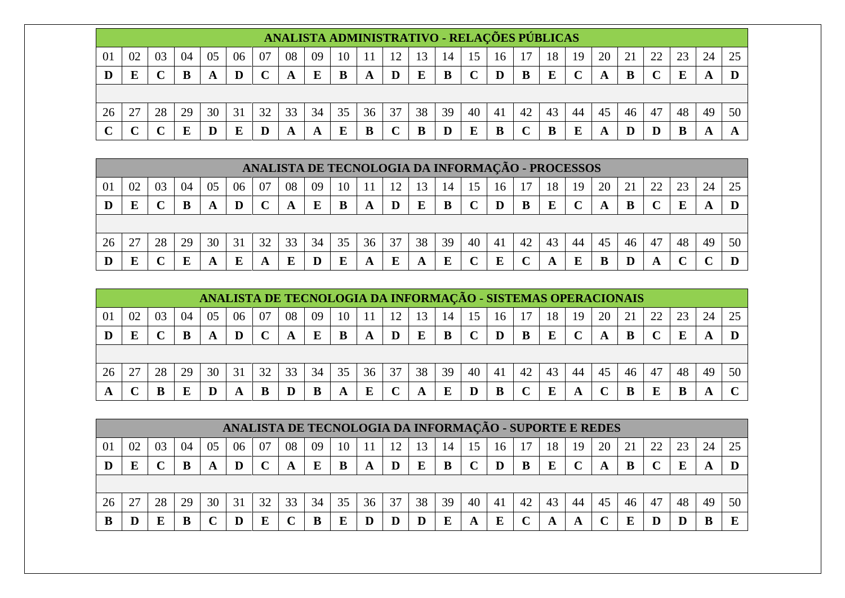|              |                                 |    |    |    |    |    |    | ANALISTA ADMINISTRATIVO - RELAÇÕES PÚBLICAS |    |    |    |    |    |    |     |    |    |    |    |    |    |    |    |  |
|--------------|---------------------------------|----|----|----|----|----|----|---------------------------------------------|----|----|----|----|----|----|-----|----|----|----|----|----|----|----|----|--|
| 01           | -02                             | 03 | 04 | 05 | 06 | 07 | 08 | 09                                          |    |    |    |    |    |    | 16  |    | 18 | 19 | 20 |    | 22 |    | 24 |  |
|              | E<br>B<br>B<br>r<br>D<br>B<br>A |    |    |    |    |    |    |                                             |    |    |    |    |    |    |     |    |    |    |    |    |    |    |    |  |
|              |                                 |    |    |    |    |    |    |                                             |    |    |    |    |    |    |     |    |    |    |    |    |    |    |    |  |
| 26           |                                 | 28 | 29 | 30 | 31 | 32 | 33 | 34                                          | 35 | 36 | 37 | 38 | 39 | 40 | -41 | 42 | 43 | 44 | 45 | 46 | 47 | 48 | 49 |  |
| $\mathbf{C}$ |                                 |    | F  |    | Е  |    |    |                                             | E  | В  |    |    | D  | Е  | B   |    |    |    | A  |    |    |    |    |  |

|    |    |    |    |    |    |    | ANALISTA DE TECNOLOGIA DA INFORMAÇÃO - PROCESSOS |    |    |    |    |    |    |    |    |    |    |    |    |    |               |    |    |    |
|----|----|----|----|----|----|----|--------------------------------------------------|----|----|----|----|----|----|----|----|----|----|----|----|----|---------------|----|----|----|
| 01 | 02 | 03 | 04 | 05 | 06 | 07 | 08                                               | 09 | 10 |    |    | 13 | 14 |    | 16 |    | 18 | 19 | 20 |    | $\mathcal{D}$ |    | 24 | 25 |
|    | Ð  |    | B  | A  |    |    |                                                  |    |    |    |    |    |    |    |    |    |    |    | A  | B  |               |    |    |    |
|    |    |    |    |    |    |    |                                                  |    |    |    |    |    |    |    |    |    |    |    |    |    |               |    |    |    |
| 26 | 27 | 28 | 29 | 30 | 31 | 32 | 33                                               | 34 | 35 | 36 | 37 | 38 | 39 | 40 | 41 | 42 | 43 | 44 | 45 | 46 | 47            | 48 | 49 | 50 |
|    | Ð  |    |    |    | E  |    |                                                  |    | F  |    | E  |    | F  |    |    |    |    |    |    |    |               |    |    |    |

|    |    |    |     |    | ANALISTA DE TECNOLOGIA DA INFORMAÇÃO - SISTEMAS OPERACIONAIS |    |    |    |    |    |    |    |    |    |    |    |    |    |    |    |    |    |    |    |
|----|----|----|-----|----|--------------------------------------------------------------|----|----|----|----|----|----|----|----|----|----|----|----|----|----|----|----|----|----|----|
| 01 | 02 | 03 | -04 | 05 | 06                                                           | 07 | 08 | 09 | 10 |    | 12 | 13 | 14 | 15 | 16 |    | 18 | 19 | 20 | 21 | 22 |    | 24 |    |
|    | E  |    |     |    | D                                                            |    |    | E  | B  |    | D  | E  | В  |    |    |    | E  |    |    |    |    |    |    |    |
|    |    |    |     |    |                                                              |    |    |    |    |    |    |    |    |    |    |    |    |    |    |    |    |    |    |    |
| 26 | 27 | 28 | 29  | 30 | 31                                                           | 32 | 33 | 34 | 35 | 36 | 37 | 38 | 39 | 40 | 41 | 42 | 43 | 44 | 45 | 46 | 47 | 48 | 49 | 50 |
|    |    |    |     |    | A                                                            |    |    |    |    |    |    |    | E  |    |    |    |    |    |    |    |    |    |    |    |

|      |    |       |    |    | ANALISTA DE TECNOLOGIA DA INFORMAÇÃO - SUPORTE E REDES |    |    |    |    |    |    |    |    |    |    |    |    |    |    |    |                |    |    |    |
|------|----|-------|----|----|--------------------------------------------------------|----|----|----|----|----|----|----|----|----|----|----|----|----|----|----|----------------|----|----|----|
| -O J | 02 | $0^3$ | 04 |    | 06                                                     |    | 08 | 09 | 10 |    | 12 | 3  | 14 | 15 | 16 |    | 18 | 19 | 20 |    | $\gamma\gamma$ |    |    |    |
|      | E  |       |    |    | D                                                      |    |    | E  |    |    |    |    | B  |    |    |    | E  |    |    |    |                |    |    |    |
|      |    |       |    |    |                                                        |    |    |    |    |    |    |    |    |    |    |    |    |    |    |    |                |    |    |    |
| 26   |    | 28    | 29 | 30 | 31                                                     | 32 | 33 | 34 | 35 | 36 | 37 | 38 | 39 | 40 | 41 | 42 | 43 | 44 | 45 | 46 | 47             | 48 | 49 | 50 |
|      |    |       |    |    | D                                                      |    |    |    |    |    |    |    | E  |    | E  |    |    |    |    |    |                |    |    |    |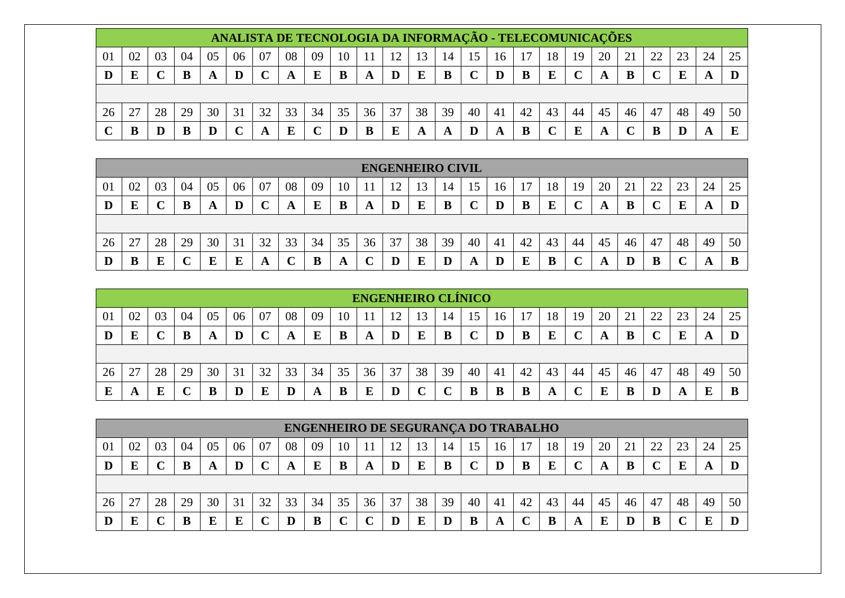|    |    |    |    |    |    |    |    |    |    |    |    |    |    |    |    | ANALISTA DE TECNOLOGIA DA INFORMAÇÃO - TELECOMUNICAÇÕES |    |    |    |    |    |    |    |    |
|----|----|----|----|----|----|----|----|----|----|----|----|----|----|----|----|---------------------------------------------------------|----|----|----|----|----|----|----|----|
| 01 | 02 | 03 | 04 | 05 | 06 | 07 | 08 | 09 | 10 |    | 12 | 13 | 14 | 15 | 16 |                                                         | 18 | 19 | 20 |    | 22 |    | 24 | 25 |
| D  | E  |    | B  |    | D  |    | A  | E  | B  | A  | D  | E  | B  |    |    |                                                         | E  |    | A  | B  |    |    |    |    |
|    |    |    |    |    |    |    |    |    |    |    |    |    |    |    |    |                                                         |    |    |    |    |    |    |    |    |
| 26 | 27 | 28 | 29 | 30 | 31 | 32 | 33 | 34 | 35 | 36 | 37 | 38 | 39 | 40 | 41 | 42                                                      | 43 | 44 | 45 | 46 | 47 | 48 | 49 | 50 |
|    |    |    | B  |    |    |    | E  |    |    |    | E  |    | A  |    |    |                                                         |    | E  | A  |    | B  |    |    |    |

|    |    |    |    |    |    |    |    |    |    |    | <b>ENGENHEIRO CIVIL</b> |    |    |    |    |    |    |    |    |    |                |    |    |    |
|----|----|----|----|----|----|----|----|----|----|----|-------------------------|----|----|----|----|----|----|----|----|----|----------------|----|----|----|
| 01 | 02 | 03 | 04 | 05 | 06 | 07 | 08 | 09 | 10 |    | ി                       | 13 | 14 | 15 | 16 |    | 18 | 19 | 20 | ∠⊥ | $\gamma$<br>∠∠ | 23 | 24 | 25 |
| D  | E  |    | B  |    | D  |    | A  | E  | B  | A  | IJ                      |    |    |    | D  |    | E  |    | A  |    |                |    | A  |    |
|    |    |    |    |    |    |    |    |    |    |    |                         |    |    |    |    |    |    |    |    |    |                |    |    |    |
| 26 | 27 | 28 | 29 | 30 | 31 | 32 | 33 | 34 | 35 | 36 | 37                      | 38 | 39 | 40 | 41 | 42 | 43 | 44 | 45 | 46 | 47             | 48 | 49 | 50 |
|    | B  |    | ╰  |    | E  | A  | ◡  | B  | A  |    |                         |    |    | A  | D  |    | B  |    | A  |    |                |    |    | В  |

|    |    |    |    |    |    |    |    |    |    | <b>ENGENHEIRO CLÍNICO</b> |    |    |    |                 |     |    |    |    |    |    |    |    |    |    |
|----|----|----|----|----|----|----|----|----|----|---------------------------|----|----|----|-----------------|-----|----|----|----|----|----|----|----|----|----|
| 01 | 02 | 03 | 04 | 05 | 06 | 07 | 08 | 09 | 10 |                           | ∣າ | 13 | 14 | 15 <sup>1</sup> | 16  |    | 18 | 19 | 20 | ∠⊥ | 22 | 23 | 24 | 25 |
| D  | Е  |    |    |    | D  |    | A  |    | B  | A                         |    | E  | B  |                 |     |    | E  |    | A  | B  |    | Е  | A  |    |
|    |    |    |    |    |    |    |    |    |    |                           |    |    |    |                 |     |    |    |    |    |    |    |    |    |    |
| 26 | 27 | 28 | 29 | 30 | 31 | 32 | 33 | 34 | 35 | 36                        | 37 | 38 | 39 | 40              | -41 | 42 | 43 | 44 | 45 | 46 | 47 | 48 | 49 | 50 |
|    | A  |    |    |    | D  |    |    | A  | B  |                           |    |    |    |                 |     |    | A  |    | E  | В  |    | A  |    |    |

|                |    |    |    |    |    |    |    |    |    |    |    |    |    |    |    | <b>ENGENHEIRO DE SEGURANÇA DO TRABALHO</b> |    |    |    |                          |    |    |    |    |
|----------------|----|----|----|----|----|----|----|----|----|----|----|----|----|----|----|--------------------------------------------|----|----|----|--------------------------|----|----|----|----|
| 0 <sup>1</sup> | 02 | 03 | 04 | 05 | 06 | 07 | 08 | 09 | 10 |    | 12 | 13 | 14 | 15 | 16 |                                            | 18 | 19 | 20 | $\overline{\phantom{a}}$ | າາ | 23 | 24 | 25 |
| IJ             | E  |    |    | A  |    |    | A  | Е  | B  | A  | D  | E  | B  |    |    |                                            | E  |    |    | B                        |    | E  |    |    |
|                |    |    |    |    |    |    |    |    |    |    |    |    |    |    |    |                                            |    |    |    |                          |    |    |    |    |
| 26             | דר | 28 | 29 | 30 | 31 | 32 | 33 | 34 | 35 | 36 | 37 | 38 | 39 | 40 | 41 | 42                                         | 43 | 44 | 45 | 46                       | 47 | 48 | 49 | 50 |
|                | E  |    |    |    | E  |    |    |    |    |    |    |    | D  |    | A  |                                            | B  | A  | E  |                          | B  |    |    |    |